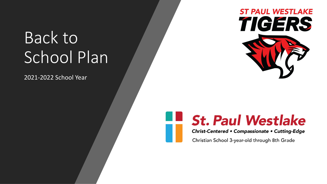## Back to School Plan

2021-2022 School Year



#### **St. Paul Westlake** Christ-Centered . Compassionate . Cutting-Edge

Christian School 3-year-old through 8th Grade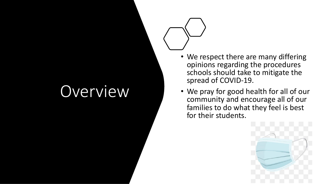## Overview

- We respect there are many differing opinions regarding the procedures schools should take to mitigate the spread of COVID -19.
- We pray for good health for all of our community and encourage all of our families to do what they feel is best for their students .

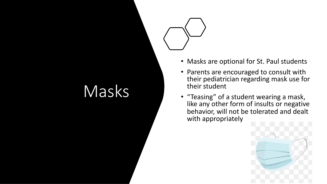### Masks

- Masks are optional for St. Paul students
- Parents are encouraged to consult with their pediatrician regarding mask use for their student
- "Teasing" of a student wearing a mask, like any other form of insults or negative behavior, will not be tolerated and dealt with appropriately

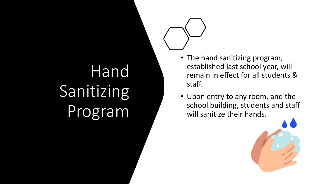# Hand Sanitizing Program

- The hand sanitizing program, established last school year, will remain in effect for all students & staff.
- Upon entry to any room, and the school building, students and staff will sanitize their hands.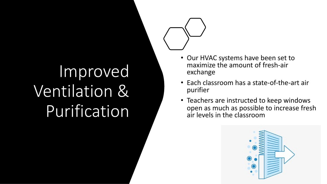# Improved Ventilation & Purification

- Our HVAC systems have been set to maximize the amount of fresh-air exchange
- Each classroom has a state-of-the-art air purifier
- Teachers are instructed to keep windows open as much as possible to increase fresh air levels in the classroom

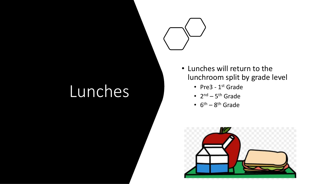### Lunches

- Lunches will return to the lunchroom split by grade level
	- Pre3 1<sup>st</sup> Grade
	- $2^{nd}$   $5^{th}$  Grade
	- $6<sup>th</sup> 8<sup>th</sup>$  Grade

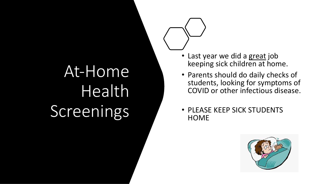# At-Home **Health** Screenings

- Last year we did a great job keeping sick children at home.
- Parents should do daily checks of students, looking for symptoms of COVID or other infectious disease.
- PLEASE KEEP SICK STUDENTS **HOME**

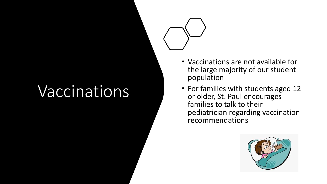## Vaccination s

- Vaccinations are not available for the large majority of our student population
- For families with students aged 12 or older, St. Paul encourages families to talk to their pediatrician regarding vaccination recommendations

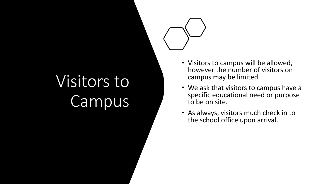# Visitors to Campus

- Visitors to campus will be allowed, however the number of visitors on campus may be limited.
- We ask that visitors to campus have a specific educational need or purpose to be on site.
- As always, visitors much check in to the school office upon arrival.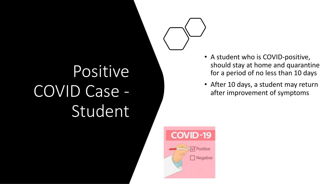# Positive COVID Case - Studen t

- A student who is COVID-positive, should stay at home and quarantine for a period of no less than 10 days
- After 10 days, a student may return after improvement of symptoms

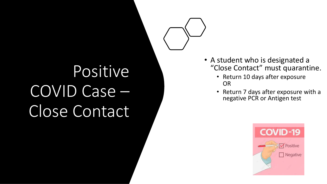# Positive COVID Case – Close Contact

- A student who is designated a "Close Contact" must quarantine.
	- Return 10 days after exposure OR
	- Return 7 days after exposure with a negative PCR or Antigen test